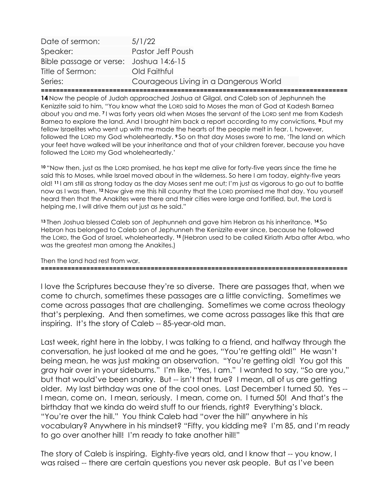| Date of sermon:                        | 5/1/22                                 |
|----------------------------------------|----------------------------------------|
| Speaker:                               | Pastor Jeff Poush                      |
| Bible passage or verse: Joshua 14:6-15 |                                        |
| Title of Sermon:                       | Old Faithful                           |
| Series:                                | Courageous Living in a Dangerous World |
|                                        |                                        |

14 Now the people of Judah approached Joshua at Gilgal, and Caleb son of Jephunneh the Kenizzite said to him, "You know what the LORD said to Moses the man of God at Kadesh Barnea about you and me. 7 I was forty years old when Moses the servant of the LORD sent me from Kadesh Barnea to explore the land. And I brought him back a report according to my convictions, 8 but my fellow Israelites who went up with me made the hearts of the people melt in fear. I, however, followed the LORD my God wholeheartedly.  $\degree$  So on that day Moses swore to me, 'The land on which your feet have walked will be your inheritance and that of your children forever, because you have followed the LORD my God wholeheartedly.'

<sup>10</sup>"Now then, just as the LORD promised, he has kept me alive for forty-five years since the time he said this to Moses, while Israel moved about in the wilderness. So here I am today, eighty-five years old! 11 I am still as strong today as the day Moses sent me out; I'm just as vigorous to go out to battle now as I was then. 12 Now give me this hill country that the LORD promised me that day. You yourself heard then that the Anakites were there and their cities were large and fortified, but, the Lord is helping me, I will drive them out just as he said."

13 Then Joshua blessed Caleb son of Jephunneh and gave him Hebron as his inheritance. <sup>14</sup> So Hebron has belonged to Caleb son of Jephunneh the Kenizzite ever since, because he followed the LORD, the God of Israel, wholeheartedly. 15 (Hebron used to be called Kiriath Arba after Arba, who was the greatest man among the Anakites.)

Then the land had rest from war.

=================================================================================

I love the Scriptures because they're so diverse. There are passages that, when we come to church, sometimes these passages are a little convicting. Sometimes we come across passages that are challenging. Sometimes we come across theology that's perplexing. And then sometimes, we come across passages like this that are inspiring. It's the story of Caleb -- 85-year-old man.

Last week, right here in the lobby, I was talking to a friend, and halfway through the conversation, he just looked at me and he goes, "You're getting old!" He wasn't being mean, he was just making an observation. "You're getting old! You got this gray hair over in your sideburns." I'm like, "Yes, I am." I wanted to say, "So are you," but that would've been snarky. But -- isn't that true? I mean, all of us are getting older. My last birthday was one of the cool ones. Last December I turned 50. Yes -- I mean, come on. I mean, seriously. I mean, come on. I turned 50! And that's the birthday that we kinda do weird stuff to our friends, right? Everything's black. "You're over the hill." You think Caleb had "over the hill" anywhere in his vocabulary? Anywhere in his mindset? "Fifty, you kidding me? I'm 85, and I'm ready to go over another hill! I'm ready to take another hill!"

The story of Caleb is inspiring. Eighty-five years old, and I know that -- you know, I was raised -- there are certain questions you never ask people. But as I've been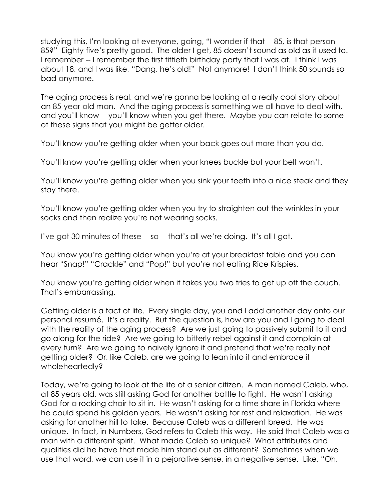studying this, I'm looking at everyone, going, "I wonder if that -- 85, is that person 85?" Eighty-five's pretty good. The older I get, 85 doesn't sound as old as it used to. I remember -- I remember the first fiftieth birthday party that I was at. I think I was about 18, and I was like, "Dang, he's old!" Not anymore! I don't think 50 sounds so bad anymore.

The aging process is real, and we're gonna be looking at a really cool story about an 85-year-old man. And the aging process is something we all have to deal with, and you'll know -- you'll know when you get there. Maybe you can relate to some of these signs that you might be getter older.

You'll know you're getting older when your back goes out more than you do.

You'll know you're getting older when your knees buckle but your belt won't.

You'll know you're getting older when you sink your teeth into a nice steak and they stay there.

You'll know you're getting older when you try to straighten out the wrinkles in your socks and then realize you're not wearing socks.

I've got 30 minutes of these -- so -- that's all we're doing. It's all I got.

You know you're getting older when you're at your breakfast table and you can hear "Snap!" "Crackle" and "Pop!" but you're not eating Rice Krispies.

You know you're getting older when it takes you two tries to get up off the couch. That's embarrassing.

Getting older is a fact of life. Every single day, you and I add another day onto our personal resumé. It's a reality. But the question is, how are you and I going to deal with the reality of the aging process? Are we just going to passively submit to it and go along for the ride? Are we going to bitterly rebel against it and complain at every turn? Are we going to naively ignore it and pretend that we're really not getting older? Or, like Caleb, are we going to lean into it and embrace it wholeheartedly?

Today, we're going to look at the life of a senior citizen. A man named Caleb, who, at 85 years old, was still asking God for another battle to fight. He wasn't asking God for a rocking chair to sit in. He wasn't asking for a time share in Florida where he could spend his golden years. He wasn't asking for rest and relaxation. He was asking for another hill to take. Because Caleb was a different breed. He was unique. In fact, in Numbers, God refers to Caleb this way. He said that Caleb was a man with a different spirit. What made Caleb so unique? What attributes and qualities did he have that made him stand out as different? Sometimes when we use that word, we can use it in a pejorative sense, in a negative sense. Like, "Oh,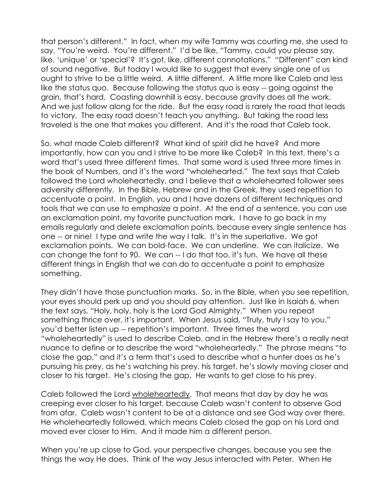that person's different." In fact, when my wife Tammy was courting me, she used to say, "You're weird. You're different." I'd be like, "Tammy, could you please say, like, 'unique' or 'special'? It's got, like, different connotations." "Different" can kind of sound negative. But today I would like to suggest that every single one of us ought to strive to be a little weird. A little different. A little more like Caleb and less like the status quo. Because following the status quo is easy -- going against the grain, that's hard. Coasting downhill is easy, because gravity does all the work. And we just follow along for the ride. But the easy road is rarely the road that leads to victory. The easy road doesn't teach you anything. But taking the road less traveled is the one that makes you different. And it's the road that Caleb took.

So, what made Caleb different? What kind of spirit did he have? And more importantly, how can you and I strive to be more like Caleb? In this text, there's a word that's used three different times. That same word is used three more times in the book of Numbers, and it's the word "wholehearted." The text says that Caleb followed the Lord wholeheartedly, and I believe that a wholehearted follower sees adversity differently. In the Bible, Hebrew and in the Greek, they used repetition to accentuate a point. In English, you and I have dozens of different techniques and tools that we can use to emphasize a point. At the end of a sentence, you can use an exclamation point, my favorite punctuation mark. I have to go back in my emails regularly and delete exclamation points, because every single sentence has one -- or nine! I type and write the way I talk. It's in the superlative. We got exclamation points. We can bold-face. We can underline. We can italicize. We can change the font to 90. We can -- I do that too, it's fun. We have all these different things in English that we can do to accentuate a point to emphasize something.

They didn't have those punctuation marks. So, in the Bible, when you see repetition, your eyes should perk up and you should pay attention. Just like in Isaiah 6, when the text says, "Holy, holy, holy is the Lord God Almighty." When you repeat something thrice over, it's important. When Jesus said, "Truly, truly I say to you," you'd better listen up -- repetition's important. Three times the word "wholeheartedly" is used to describe Caleb, and in the Hebrew there's a really neat nuance to define or to describe the word "wholeheartedly." The phrase means "to close the gap," and it's a term that's used to describe what a hunter does as he's pursuing his prey, as he's watching his prey, his target, he's slowly moving closer and closer to his target. He's closing the gap. He wants to get close to his prey.

Caleb followed the Lord wholeheartedly. That means that day by day he was creeping ever closer to his target, because Caleb wasn't content to observe God from afar. Caleb wasn't content to be at a distance and see God way over there. He wholeheartedly followed, which means Caleb closed the gap on his Lord and moved ever closer to Him. And it made him a different person.

When you're up close to God, your perspective changes, because you see the things the way He does. Think of the way Jesus interacted with Peter. When He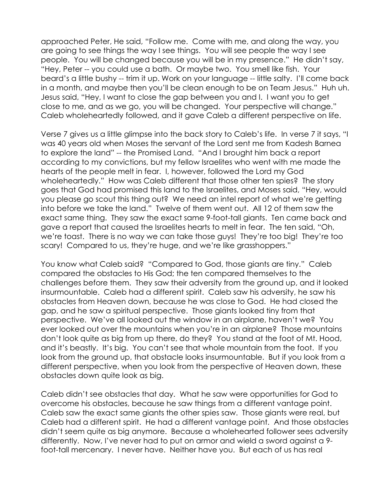approached Peter, He said, "Follow me. Come with me, and along the way, you are going to see things the way I see things. You will see people the way I see people. You will be changed because you will be in my presence." He didn't say, "Hey, Peter -- you could use a bath. Or maybe two. You smell like fish. Your beard's a little bushy -- trim it up. Work on your language -- little salty. I'll come back in a month, and maybe then you'll be clean enough to be on Team Jesus." Huh uh. Jesus said, "Hey, I want to close the gap between you and I. I want you to get close to me, and as we go, you will be changed. Your perspective will change." Caleb wholeheartedly followed, and it gave Caleb a different perspective on life.

Verse 7 gives us a little glimpse into the back story to Caleb's life. In verse 7 it says, "I was 40 years old when Moses the servant of the Lord sent me from Kadesh Barnea to explore the land" -- the Promised Land. "And I brought him back a report according to my convictions, but my fellow Israelites who went with me made the hearts of the people melt in fear. I, however, followed the Lord my God wholeheartedly." How was Caleb different that those other ten spies? The story goes that God had promised this land to the Israelites, and Moses said, "Hey, would you please go scout this thing out? We need an intel report of what we're getting into before we take the land." Twelve of them went out. All 12 of them saw the exact same thing. They saw the exact same 9-foot-tall giants. Ten came back and gave a report that caused the Israelites hearts to melt in fear. The ten said, "Oh, we're toast. There is no way we can take those guys! They're too big! They're too scary! Compared to us, they're huge, and we're like grasshoppers."

You know what Caleb said? "Compared to God, those giants are tiny." Caleb compared the obstacles to His God; the ten compared themselves to the challenges before them. They saw their adversity from the ground up, and it looked insurmountable. Caleb had a different spirit. Caleb saw his adversity, he saw his obstacles from Heaven down, because he was close to God. He had closed the gap, and he saw a spiritual perspective. Those giants looked tiny from that perspective. We've all looked out the window in an airplane, haven't we? You ever looked out over the mountains when you're in an airplane? Those mountains don't look quite as big from up there, do they? You stand at the foot of Mt. Hood, and it's beastly. It's big. You can't see that whole mountain from the foot. If you look from the ground up, that obstacle looks insurmountable. But if you look from a different perspective, when you look from the perspective of Heaven down, these obstacles down quite look as big.

Caleb didn't see obstacles that day. What he saw were opportunities for God to overcome his obstacles, because he saw things from a different vantage point. Caleb saw the exact same giants the other spies saw. Those giants were real, but Caleb had a different spirit. He had a different vantage point. And those obstacles didn't seem quite as big anymore. Because a wholehearted follower sees adversity differently. Now, I've never had to put on armor and wield a sword against a 9 foot-tall mercenary. I never have. Neither have you. But each of us has real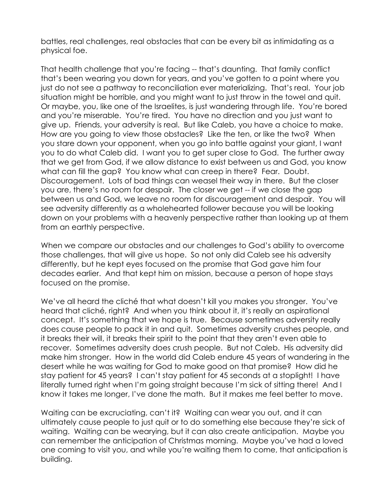battles, real challenges, real obstacles that can be every bit as intimidating as a physical foe.

That health challenge that you're facing -- that's daunting. That family conflict that's been wearing you down for years, and you've gotten to a point where you just do not see a pathway to reconciliation ever materializing. That's real. Your job situation might be horrible, and you might want to just throw in the towel and quit. Or maybe, you, like one of the Israelites, is just wandering through life. You're bored and you're miserable. You're tired. You have no direction and you just want to give up. Friends, your adversity is real. But like Caleb, you have a choice to make. How are you going to view those obstacles? Like the ten, or like the two? When you stare down your opponent, when you go into battle against your giant, I want you to do what Caleb did. I want you to get super close to God. The further away that we get from God, if we allow distance to exist between us and God, you know what can fill the gap? You know what can creep in there? Fear. Doubt. Discouragement. Lots of bad things can weasel their way in there. But the closer you are, there's no room for despair. The closer we get -- if we close the gap between us and God, we leave no room for discouragement and despair. You will see adversity differently as a wholehearted follower because you will be looking down on your problems with a heavenly perspective rather than looking up at them from an earthly perspective.

When we compare our obstacles and our challenges to God's ability to overcome those challenges, that will give us hope. So not only did Caleb see his adversity differently, but he kept eyes focused on the promise that God gave him four decades earlier. And that kept him on mission, because a person of hope stays focused on the promise.

We've all heard the cliché that what doesn't kill you makes you stronger. You've heard that cliché, right? And when you think about it, it's really an aspirational concept. It's something that we hope is true. Because sometimes adversity really does cause people to pack it in and quit. Sometimes adversity crushes people, and it breaks their will, it breaks their spirit to the point that they aren't even able to recover. Sometimes adversity does crush people. But not Caleb. His adversity did make him stronger. How in the world did Caleb endure 45 years of wandering in the desert while he was waiting for God to make good on that promise? How did he stay patient for 45 years? I can't stay patient for 45 seconds at a stoplight! I have literally turned right when I'm going straight because I'm sick of sitting there! And I know it takes me longer, I've done the math. But it makes me feel better to move.

Waiting can be excruciating, can't it? Waiting can wear you out, and it can ultimately cause people to just quit or to do something else because they're sick of waiting. Waiting can be wearying, but it can also create anticipation. Maybe you can remember the anticipation of Christmas morning. Maybe you've had a loved one coming to visit you, and while you're waiting them to come, that anticipation is building.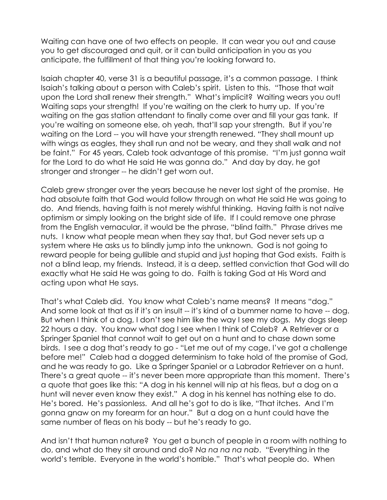Waiting can have one of two effects on people. It can wear you out and cause you to get discouraged and quit, or it can build anticipation in you as you anticipate, the fulfillment of that thing you're looking forward to.

Isaiah chapter 40, verse 31 is a beautiful passage, it's a common passage. I think Isaiah's talking about a person with Caleb's spirit. Listen to this. "Those that wait upon the Lord shall renew their strength." What's implicit? Waiting wears you out! Waiting saps your strength! If you're waiting on the clerk to hurry up. If you're waiting on the gas station attendant to finally come over and fill your gas tank. If you're waiting on someone else, oh yeah, that'll sap your strength. But if you're waiting on the Lord -- you will have your strength renewed. "They shall mount up with wings as eagles, they shall run and not be weary, and they shall walk and not be faint." For 45 years, Caleb took advantage of this promise. "I'm just gonna wait for the Lord to do what He said He was gonna do." And day by day, he got stronger and stronger -- he didn't get worn out.

Caleb grew stronger over the years because he never lost sight of the promise. He had absolute faith that God would follow through on what He said He was going to do. And friends, having faith is not merely wishful thinking. Having faith is not naïve optimism or simply looking on the bright side of life. If I could remove one phrase from the English vernacular, it would be the phrase, "blind faith." Phrase drives me nuts. I know what people mean when they say that, but God never sets up a system where He asks us to blindly jump into the unknown. God is not going to reward people for being gullible and stupid and just hoping that God exists. Faith is not a blind leap, my friends. Instead, it is a deep, settled conviction that God will do exactly what He said He was going to do. Faith is taking God at His Word and acting upon what He says.

That's what Caleb did. You know what Caleb's name means? It means "dog." And some look at that as if it's an insult -- it's kind of a bummer name to have -- dog. But when I think of a dog, I don't see him like the way I see my dogs. My dogs sleep 22 hours a day. You know what dog I see when I think of Caleb? A Retriever or a Springer Spaniel that cannot wait to get out on a hunt and to chase down some birds. I see a dog that's ready to go - "Let me out of my cage, I've got a challenge before me!" Caleb had a dogged determinism to take hold of the promise of God, and he was ready to go. Like a Springer Spaniel or a Labrador Retriever on a hunt. There's a great quote -- it's never been more appropriate than this moment. There's a quote that goes like this: "A dog in his kennel will nip at his fleas, but a dog on a hunt will never even know they exist." A dog in his kennel has nothing else to do. He's bored. He's passionless. And all he's got to do is like, "That itches. And I'm gonna gnaw on my forearm for an hour." But a dog on a hunt could have the same number of fleas on his body -- but he's ready to go.

And isn't that human nature? You get a bunch of people in a room with nothing to do, and what do they sit around and do? Na na na na nab. "Everything in the world's terrible. Everyone in the world's horrible." That's what people do. When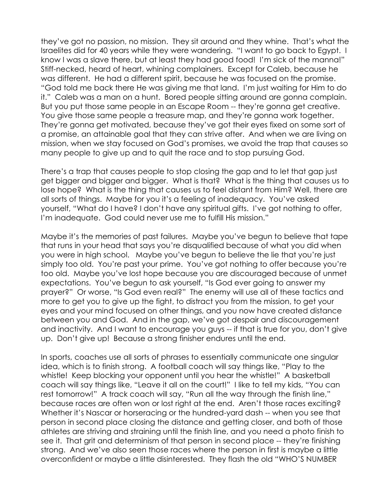they've got no passion, no mission. They sit around and they whine. That's what the Israelites did for 40 years while they were wandering. "I want to go back to Egypt. I know I was a slave there, but at least they had good food! I'm sick of the manna!" Stiff-necked, heard of heart, whining complainers. Except for Caleb, because he was different. He had a different spirit, because he was focused on the promise. "God told me back there He was giving me that land. I'm just waiting for Him to do it." Caleb was a man on a hunt. Bored people sitting around are gonna complain. But you put those same people in an Escape Room -- they're gonna get creative. You give those same people a treasure map, and they're gonna work together. They're gonna get motivated, because they've got their eyes fixed on some sort of a promise, an attainable goal that they can strive after. And when we are living on mission, when we stay focused on God's promises, we avoid the trap that causes so many people to give up and to quit the race and to stop pursuing God.

There's a trap that causes people to stop closing the gap and to let that gap just get bigger and bigger and bigger. What is that? What is the thing that causes us to lose hope? What is the thing that causes us to feel distant from Him? Well, there are all sorts of things. Maybe for you it's a feeling of inadequacy. You've asked yourself, "What do I have? I don't have any spiritual gifts. I've got nothing to offer, I'm inadequate. God could never use me to fulfill His mission."

Maybe it's the memories of past failures. Maybe you've begun to believe that tape that runs in your head that says you're disqualified because of what you did when you were in high school. Maybe you've begun to believe the lie that you're just simply too old. You're past your prime. You've got nothing to offer because you're too old. Maybe you've lost hope because you are discouraged because of unmet expectations. You've begun to ask yourself, "Is God ever going to answer my prayer?" Or worse, "Is God even real?" The enemy will use all of these tactics and more to get you to give up the fight, to distract you from the mission, to get your eyes and your mind focused on other things, and you now have created distance between you and God. And in the gap, we've got despair and discouragement and inactivity. And I want to encourage you guys -- if that is true for you, don't give up. Don't give up! Because a strong finisher endures until the end.

In sports, coaches use all sorts of phrases to essentially communicate one singular idea, which is to finish strong. A football coach will say things like, "Play to the whistle! Keep blocking your opponent until you hear the whistle!" A basketball coach will say things like, "Leave it all on the court!" I like to tell my kids, "You can rest tomorrow!" A track coach will say, "Run all the way through the finish line," because races are often won or lost right at the end. Aren't those races exciting? Whether it's Nascar or horseracing or the hundred-yard dash -- when you see that person in second place closing the distance and getting closer, and both of those athletes are striving and straining until the finish line, and you need a photo finish to see it. That grit and determinism of that person in second place -- they're finishing strong. And we've also seen those races where the person in first is maybe a little overconfident or maybe a little disinterested. They flash the old "WHO'S NUMBER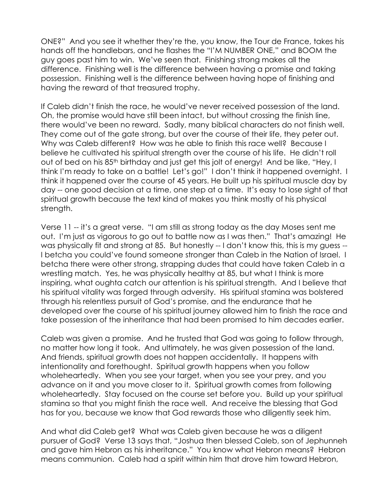ONE?" And you see it whether they're the, you know, the Tour de France, takes his hands off the handlebars, and he flashes the "I'M NUMBER ONE," and BOOM the guy goes past him to win. We've seen that. Finishing strong makes all the difference. Finishing well is the difference between having a promise and taking possession. Finishing well is the difference between having hope of finishing and having the reward of that treasured trophy.

If Caleb didn't finish the race, he would've never received possession of the land. Oh, the promise would have still been intact, but without crossing the finish line, there would've been no reward. Sadly, many biblical characters do not finish well. They come out of the gate strong, but over the course of their life, they peter out. Why was Caleb different? How was he able to finish this race well? Because I believe he cultivated his spiritual strength over the course of his life. He didn't roll out of bed on his 85<sup>th</sup> birthday and just get this jolt of energy! And be like, "Hey, I think I'm ready to take on a battle! Let's go!" I don't think it happened overnight. I think it happened over the course of 45 years. He built up his spiritual muscle day by day -- one good decision at a time, one step at a time. It's easy to lose sight of that spiritual growth because the text kind of makes you think mostly of his physical strength.

Verse 11 -- it's a great verse. "I am still as strong today as the day Moses sent me out. I'm just as vigorous to go out to battle now as I was then." That's amazing! He was physically fit and strong at 85. But honestly -- I don't know this, this is my guess --I betcha you could've found someone stronger than Caleb in the Nation of Israel. I betcha there were other strong, strapping dudes that could have taken Caleb in a wrestling match. Yes, he was physically healthy at 85, but what I think is more inspiring, what oughta catch our attention is his spiritual strength. And I believe that his spiritual vitality was forged through adversity. His spiritual stamina was bolstered through his relentless pursuit of God's promise, and the endurance that he developed over the course of his spiritual journey allowed him to finish the race and take possession of the inheritance that had been promised to him decades earlier.

Caleb was given a promise. And he trusted that God was going to follow through, no matter how long it took. And ultimately, he was given possession of the land. And friends, spiritual growth does not happen accidentally. It happens with intentionality and forethought. Spiritual growth happens when you follow wholeheartedly. When you see your target, when you see your prey, and you advance on it and you move closer to it. Spiritual growth comes from following wholeheartedly. Stay focused on the course set before you. Build up your spiritual stamina so that you might finish the race well. And receive the blessing that God has for you, because we know that God rewards those who diligently seek him.

And what did Caleb get? What was Caleb given because he was a diligent pursuer of God? Verse 13 says that, "Joshua then blessed Caleb, son of Jephunneh and gave him Hebron as his inheritance." You know what Hebron means? Hebron means communion. Caleb had a spirit within him that drove him toward Hebron,